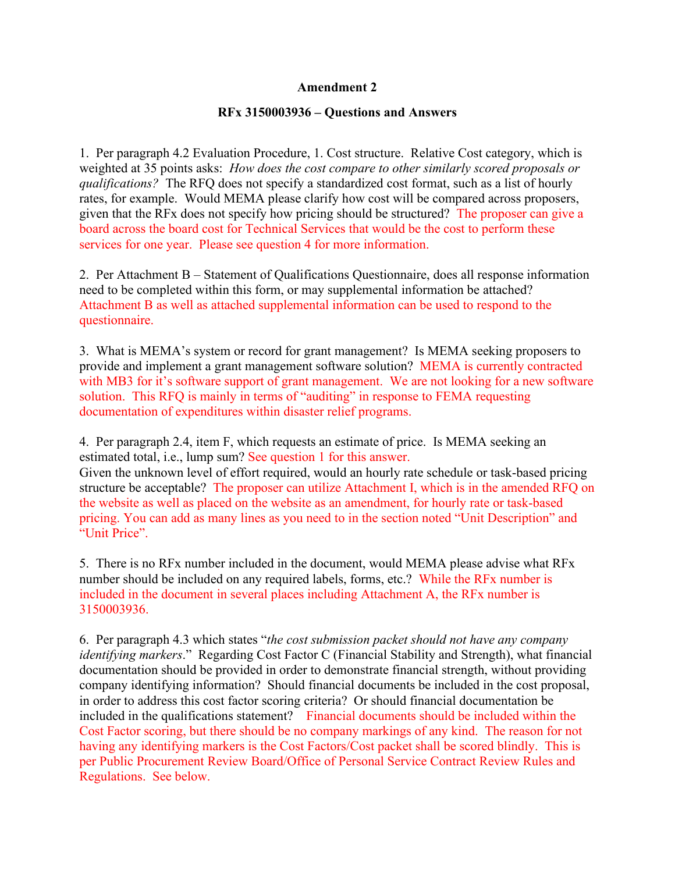## **Amendment 2**

## **RFx 3150003936 – Questions and Answers**

1. Per paragraph 4.2 Evaluation Procedure, 1. Cost structure. Relative Cost category, which is weighted at 35 points asks: *How does the cost compare to other similarly scored proposals or qualifications?* The RFQ does not specify a standardized cost format, such as a list of hourly rates, for example. Would MEMA please clarify how cost will be compared across proposers, given that the RFx does not specify how pricing should be structured? The proposer can give a board across the board cost for Technical Services that would be the cost to perform these services for one year. Please see question 4 for more information.

2. Per Attachment B – Statement of Qualifications Questionnaire, does all response information need to be completed within this form, or may supplemental information be attached? Attachment B as well as attached supplemental information can be used to respond to the questionnaire.

3. What is MEMA's system or record for grant management? Is MEMA seeking proposers to provide and implement a grant management software solution? MEMA is currently contracted with MB3 for it's software support of grant management. We are not looking for a new software solution. This RFQ is mainly in terms of "auditing" in response to FEMA requesting documentation of expenditures within disaster relief programs.

4. Per paragraph 2.4, item F, which requests an estimate of price. Is MEMA seeking an estimated total, i.e., lump sum? See question 1 for this answer. Given the unknown level of effort required, would an hourly rate schedule or task-based pricing structure be acceptable? The proposer can utilize Attachment I, which is in the amended RFQ on the website as well as placed on the website as an amendment, for hourly rate or task-based pricing. You can add as many lines as you need to in the section noted "Unit Description" and "Unit Price".

5. There is no RFx number included in the document, would MEMA please advise what RFx number should be included on any required labels, forms, etc.? While the RFx number is included in the document in several places including Attachment A, the RFx number is 3150003936.

6. Per paragraph 4.3 which states "*the cost submission packet should not have any company identifying markers*." Regarding Cost Factor C (Financial Stability and Strength), what financial documentation should be provided in order to demonstrate financial strength, without providing company identifying information? Should financial documents be included in the cost proposal, in order to address this cost factor scoring criteria? Or should financial documentation be included in the qualifications statement? Financial documents should be included within the Cost Factor scoring, but there should be no company markings of any kind. The reason for not having any identifying markers is the Cost Factors/Cost packet shall be scored blindly. This is per Public Procurement Review Board/Office of Personal Service Contract Review Rules and Regulations. See below.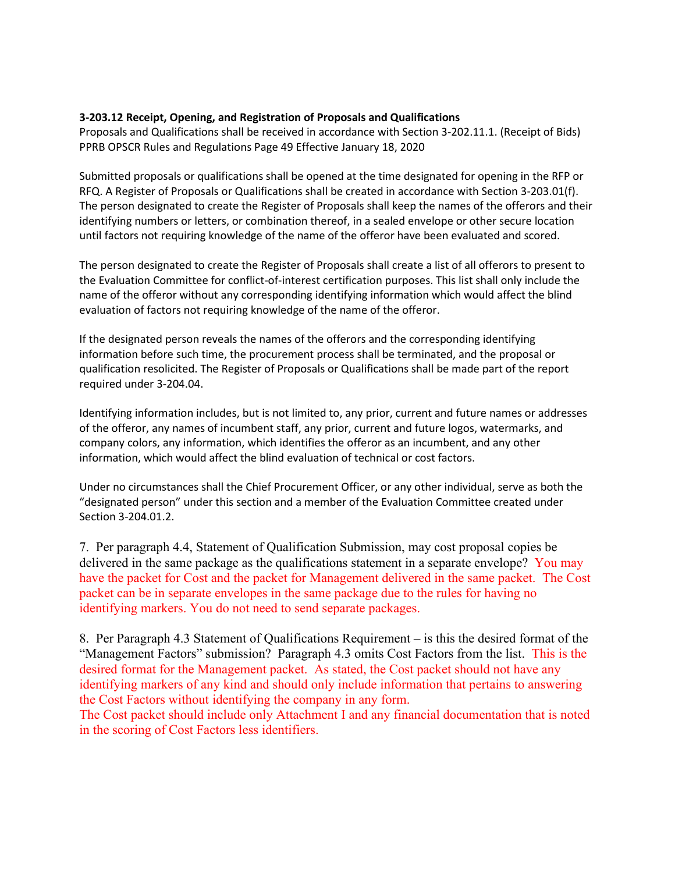## **3-203.12 Receipt, Opening, and Registration of Proposals and Qualifications**

Proposals and Qualifications shall be received in accordance with Section 3-202.11.1. (Receipt of Bids) PPRB OPSCR Rules and Regulations Page 49 Effective January 18, 2020

Submitted proposals or qualifications shall be opened at the time designated for opening in the RFP or RFQ. A Register of Proposals or Qualifications shall be created in accordance with Section 3-203.01(f). The person designated to create the Register of Proposals shall keep the names of the offerors and their identifying numbers or letters, or combination thereof, in a sealed envelope or other secure location until factors not requiring knowledge of the name of the offeror have been evaluated and scored.

The person designated to create the Register of Proposals shall create a list of all offerors to present to the Evaluation Committee for conflict-of-interest certification purposes. This list shall only include the name of the offeror without any corresponding identifying information which would affect the blind evaluation of factors not requiring knowledge of the name of the offeror.

If the designated person reveals the names of the offerors and the corresponding identifying information before such time, the procurement process shall be terminated, and the proposal or qualification resolicited. The Register of Proposals or Qualifications shall be made part of the report required under 3-204.04.

Identifying information includes, but is not limited to, any prior, current and future names or addresses of the offeror, any names of incumbent staff, any prior, current and future logos, watermarks, and company colors, any information, which identifies the offeror as an incumbent, and any other information, which would affect the blind evaluation of technical or cost factors.

Under no circumstances shall the Chief Procurement Officer, or any other individual, serve as both the "designated person" under this section and a member of the Evaluation Committee created under Section 3-204.01.2.

7. Per paragraph 4.4, Statement of Qualification Submission, may cost proposal copies be delivered in the same package as the qualifications statement in a separate envelope? You may have the packet for Cost and the packet for Management delivered in the same packet. The Cost packet can be in separate envelopes in the same package due to the rules for having no identifying markers. You do not need to send separate packages.

8. Per Paragraph 4.3 Statement of Qualifications Requirement – is this the desired format of the "Management Factors" submission? Paragraph 4.3 omits Cost Factors from the list. This is the desired format for the Management packet. As stated, the Cost packet should not have any identifying markers of any kind and should only include information that pertains to answering the Cost Factors without identifying the company in any form.

The Cost packet should include only Attachment I and any financial documentation that is noted in the scoring of Cost Factors less identifiers.